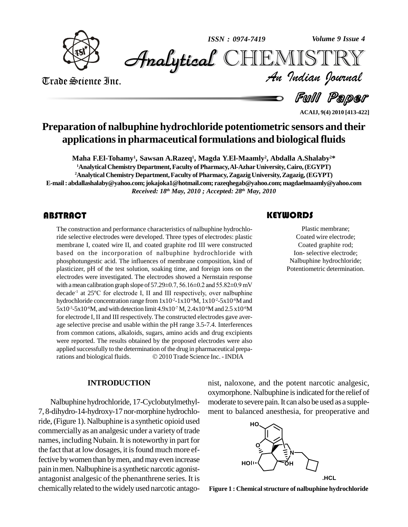

*Volume 9 Issue 4*



Trade Science Inc. Trade Science Inc.

*Volume 9 Issue 4*<br>IISTRY<br>*Indian Iournal* 

**Full Paper** 

**ACAIJ, 9(4) 2010 [413-422]**

# **Preparation of nalbuphine hydrochloride potentiometric sensors and their applicationsin pharmaceuticalformulations and biologicalfluids**

**Maha F.El-Tohamy 1 , Sawsan A.Razeq 1 , Magda Y.El-Maamly 2 , Abdalla A.Shalaby <sup>2</sup>\* <sup>1</sup>AnalyticalChemistry Department,Faculty ofPharmacy,Al-AzharUniversity, Cairo,(EGYPT) <sup>2</sup>Analytical Chemistry Department,Faculty of Pharmacy,ZagazigUniversity,Zagazig,(EGYPT) E-mail: [abdallashalaby@yahoo.com;jokajoka1](mailto:abdallashalaby@yahoo.com;)[@hotmail.com;](mailto:jokajoka1@hotmail.com;) [razeqhegab@yahoo.com;magdael](mailto:razeqhegab@yahoo.com;)[maamly@yahoo.com](mailto:magdaelmaamly@yahoo.com)**

*Received: 18 th May, 2010 ; Accepted: 28 th May, 2010*

The construction and performance characteristics of nalbuphine hydrochloride selective electrodes were developed. Three types of electrodes: plastic membrane I, coated wire II, and coated graphite rod III were constructed The construction and performance characteristics of nalbuphine hydrochloride selective electrodes were developed. Three types of electrodes: plastic based on the incorporation of nalbuphine hydrochloride with phosphotungestic acid. The influences of membrane composition, kind of plasticizer, pH of the test solution, soaking time, and foreign ions on the electrodes were investigated. The electrodes showed a Nernstain response plasticizer, pH of the test solution, soaking time, and foreign ions on the<br>electrodes were investigated. The electrodes showed a Nernstain response<br>with a mean calibration graph slope of 57.29±0.7, 56.16±0.2 and 55.82±0.9 decade<sup>-1</sup> at 25°C for electrode I, II and III respectively, over nalbuphine des were investigated. The electrodes showed a Nernstain response<br>nean calibration graph slope of 57.29±0.7, 56.16±0.2 and 55.82±0.9 mV<br><sup>-1</sup> at 25°C for electrode I, II and III respectively, over nalbuphine hydrochloride concentration range from  $1x10^{-2}$ -1x10<sup>-6</sup>M,  $1x10^{-2}$ -5x10<sup>-6</sup>M and  $5x10^3$ - $5x10^6$ M, and with detection limit  $4.9x10^7$  M,  $2.4x10^6$ M and  $2.5x10^6$ M for electrode I, II and III respectively. The constructed electrodes gave average selective precise and usable within the pH range 3.5-7.4. Interferences from common cations, alkaloids, sugars, amino acids and drug excipients were reported. The results obtained by the proposed electrodes were also<br>applied successfully to the determination of the drug in pharmaceutical prepa-<br>rations and biological fluids.  $\textcircled{2010}$  Trade Science Inc. - INDIA applied successfully to the determination of the drug in pharmaceutical prepa-

Plastic membrane;<br>Coated wire electrode;<br>Coated graphite rod; Plastic membrane; Coated wire electrode; Ion- selective electrode; Nalbuphine hydrochloride; Potentiometric determination.

#### **INTRODUCTION**

Nalbuphine hydrochloride, 17-Cyclobutylmethyl- 7, 8-dihydro-14-hydroxy-17 nor-morphine hydrochloride,(Figure 1). Nalbuphine is a synthetic opioid used commercially as an analgesic under a variety of trade names, including Nubain. It is noteworthy in part for the fact that at low dosages, it is found much more effective by women than by men, and may even increase pain in men. Nalbuphine is a synthetic narcotic agonistantagonist analgesic of the phenanthrene series. It is chemically related to the widely used narcotic antagonist, naloxone, and the potent narcotic analgesic, oxymorphone. Nalbuphine is indicated for the relief of moderate to severe pain. It can also be used as a supplement to balanced anesthesia, for preoperative and



**Figure 1 : Chemicalstructure of nalbuphine hydrochloride**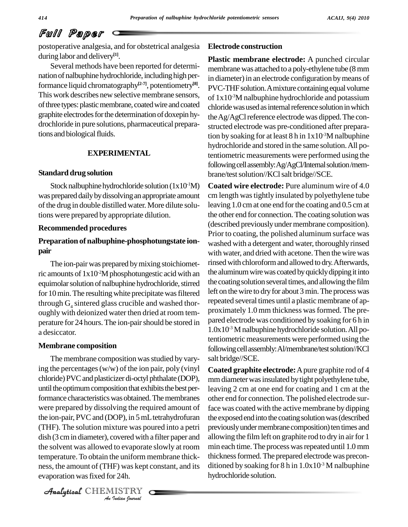postoperative analgesia, and for obstetrical analgesia during labor and delivery **[1]**.

Several methods have been reported for determi nation of nalbuphine hydrochloride, including high performance liquid chromatography **[2-7]**, potentiometry **[8]**. This work describes new selective membrane sensors, of three types: plastic membrane, coated wire and coated graphite electrodes for the determination of doxepin hydrochloride in pure solutions, pharmaceutical preparations and biological fluids.

#### **EXPERIMENTAL**

#### **Standard drug solution**

Stock nalbuphine hydrochloride solution  $(1x10^1M)$  Coa was prepared daily by dissolving an appropriate amount of the drug in double distilled water. More dilute solutions were prepared by appropriate dilution.

#### **Recommended procedures**

### **Preparation of nalbuphine-phosphotungstate ion pair**

The ion-pair was prepared by mixing stoichiometric amounts of  $1x10^2M$  phosphotungestic acid with an the alur equimolar solution of nalbuphine hydrochloride, stirred for 10 min. The resulting white precipitate was filtered through  $G_4$  sintered glass crucible and washed thor-<br>oughly with deionized water then dried at room temperature for 24 hours. The ion-pair should be stored in a desiccator.

#### **Membrane composition**

*Analytical distributions, constructions, constructions* properties and  $\frac{1}{2}$  in the solvent was allowed to evaporate slowly at room min each time *I* to evaporate<br>*Indian I*<br>*I* was kept<br>*I* 24h.<br>*I Is* TRY The membrane composition was studied by varying the percentages(w/w) of the ion pair, poly (vinyl chloride) PVC and plasticizer di-octyl phthalate (DOP), until the optimum composition that exhibits the best performance characteristics was obtained. The membranes were prepared by dissolving the required amount of the ion-pair, PVCand (DOP), in 5mLtetrahydrofuran (THF). The solution mixture was poured into a petri dish (3 cmin diameter), covered with a filter paper and temperature.To obtain the uniform membrane thick ness, the amount of (THF) was kept constant, and its evaporation wasfixed for 24h.

CHEMISTRY

#### **Electrode construction**

**Plastic membrane electrode:** A punched circular membrane was attached to a poly-ethylene tube (8 mm in diameter) in an electrode configuration by means of PVC-THF solution. A mixture containing equal volume of 1x10 -3M nalbuphine hydrochloride and potassium chloride was used as internal reference solution in which the Ag/AgCl reference electrode was dipped. The constructed electrode was pre-conditioned after preparation by soaking for at least 8 h in 1x10<sup>-3</sup>M nalbuphine hydrochloride and stored in the same solution.All potentiometric measurements were performed using the following cell assembly: Ag/AgCl/Internal solution/membrane/test solution//KCl salt bridge//SCE.

**Coated wire electrode:** Pure aluminum wire of 4.0 cm length wastightly insulated by polyethylene tube leaving 1.0 cm at one end for the coating and 0.5 cm at the other end for connection.The coating solution was (described previously under membrane composition). Prior to coating, the polished aluminum surface was washed with a detergent and water, thoroughly rinsed with water, and dried with acetone. Then the wire was rinsed with chloroform and allowed to dry. Afterwards, the aluminum wire was coated by quickly dipping it into the coating solution several times, and allowing the film left on the wire to dry for about 3 min. The process was repeated several times until a plastic membrane of approximately 1.0 mm thickness was formed. The prepared electrode was conditioned by soaking for 6 h in 1.0x10 -3 Mnalbuphine hydrochloride solution.All potentiometric measurements were performed using the following cell assembly: Al/membrane/test solution//KCl salt bridge//SCE.

**Coated graphite electrode:**Apure graphite rod of 4 mm diameter was insulated by tight polyethylene tube, leaving 2 cm at one end for coating and 1 cm at the other end for connection. The polished electrode surface was coated with the active membrane by dipping the exposed end into the coating solution was (described previously under membrane composition) ten times and allowing the film left on graphite rod to dry in air for 1 min each time. The process was repeated until 1.0 mm thickness formed. The prepared electrode was preconditioned by soaking for 8 h in 1.0x10 -3 M nalbuphine hydrochloride solution.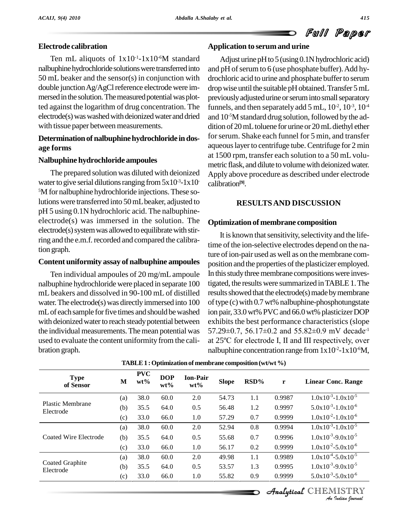### **Electrode calibration**

Ten mL aliquots of  $1x10^{-1}-1x10$ <sup>o</sup>M standard Ad nalbuphine hydrochloride solutions were transferred into 50 mL beaker and the sensor(s) in conjunction with double junction Ag/AgCl reference electrode were immersed in the solution. The measured potential was plotted against the logarithm of drug concentration. The electrode(s) was washed with deionized water and dried with tissue paper between measurements.

### **Determination of nalbuphine hydrochloride in dosage forms**

#### **Nalbuphine hydrochloride ampoules**

The prepared solution was diluted with deionized water to give serial dilutions ranging from  $5x10^3$ -1x10 calibra <sup>5</sup>M for nalbuphine hydrochloride injections. These solutions were transferred into 50mLbeaker, adjusted to pH 5 using 0.1N hydrochloric acid. The nalbuphine electrode(s) was immersed in the solution. The  $electrode(s)$  system was allowed to equilibrate with stirring and the e.m.f. recorded and compared the calibration graph.

#### **Content uniformity assay of nalbuphine ampoules**

Ten individual ampoules of 20 mg/mLampoule nalbuphine hydrochloride were placed in separate 100 mL beakers and dissolved in 90-100 mL of distilled water. The electrode(s) was directly immersed into 100 mL of each sample for five times and should be washed with deionized water to reach steady potential between the individual measurements. The mean potential was

### **Application to serumand urine**

calibration<sup>[9]</sup>. Adjust urine  $pH$  to 5 (using 0.1N hydrochloric acid) and  $pH$  of serum to 6 (use phosphate buffer). Add hydrochloric acid to urine and phosphate buffer to serum drop wise until the suitable pH obtained. Transfer 5 mL previously adjusted urine or serum into small separatory funnels, and then separately add 5 mL,  $10^2$ ,  $10^3$ ,  $10^4$ and 10<sup>-5</sup>M standard drug solution, followed by the addition of 20 mL toluene for urine or 20 mL diethyl ether for serum. Shake each funnel for 5 min, and transfer aqueous layer to centrifuge tube. Centrifuge for 2 min at 1500 rpm, transfer each solution to a 50 mL volu metric flask, and dilute to volume with deionized water. Apply above procedure as described under electrode

### **RESULTSAND DISCUSSION**

#### **Optimization of membrane composition**

used to evaluate the content uniformity from the cali-<br>bration graph.<br> $\frac{1}{25}$  at 25<sup>o</sup>C for electrode I, II and III respectively, over<br>halbuphine concentration range from 1x10<sup>2</sup>-1x10<sup>-6</sup>M, It is known that sensitivity, selectivity and the lifetime of the ion-selective electrodes depend on the nature of ion-pair used as well as on the membrane composition and the properties of the plasticizer employed. In this study three membrane compositions were investigated, the results were summarized inTABLE1.The results showed that the electrode(s) made by membrane of type  $(c)$  with 0.7 wt% nalbuphine-phosphotungstate ion pair,33.0wt%PVCand 66.0wt% plasticizerDOP exhibits the best performance characteristics (slope ion pair, 33.0 wt% PVC and 66.0 wt% plasticizer DOP<br>exhibits the best performance characteristics (slope<br>57.29±0.7, 56.17±0.2 and 55.82±0.9 mV decade<sup>-1</sup> 57.29 $\pm$ 0.7, 56.17 $\pm$ 0.2 and 55.82 $\pm$ 0.9 mV decade<sup>-1</sup> exhibits the best performance characteristics (slope 57.29±0.7, 56.17±0.2 and 55.82±0.9 mV decade<sup>-1</sup> at 25<sup>°</sup>C for electrode I, II and III respectively, over nalbuphine concentration range from  $1x10^{-2}$ - $1x10^{-6}$ M,

| <b>Type</b><br>of Sensor             | M   | <b>PVC</b><br>$wt\%$ | <b>DOP</b><br>$wt\%$ | <b>Ion-Pair</b><br>$wt\%$ | <b>Slope</b> | RSD% | r      | <b>Linear Conc. Range</b>                 |
|--------------------------------------|-----|----------------------|----------------------|---------------------------|--------------|------|--------|-------------------------------------------|
|                                      | (a) | 38.0                 | 60.0                 | 2.0                       | 54.73        | 1.1  | 0.9987 | $1.0x10^{-3} - 1.0x10^{-5}$               |
| <b>Plastic Membrane</b><br>Electrode | (b) | 35.5                 | 64.0                 | 0.5                       | 56.48        | 1.2  | 0.9997 | $5.0x10^{-3} - 1.0x10^{-6}$               |
|                                      | (c) | 33.0                 | 66.0                 | 1.0                       | 57.29        | 0.7  | 0.9999 | $1.0x10^{-2} - 1.0x10^{-6}$               |
|                                      | (a) | 38.0                 | 60.0                 | 2.0                       | 52.94        | 0.8  | 0.9994 | $1.0x10^{-3} - 1.0x10^{-5}$               |
| Coated Wire Electrode                | (b) | 35.5                 | 64.0                 | 0.5                       | 55.68        | 0.7  | 0.9996 | $1.0x10^{-3} - 9.0x10^{-5}$               |
|                                      | (c) | 33.0                 | 66.0                 | 1.0                       | 56.17        | 0.2  | 0.9999 | $1.0x10^{-2} - 5.0x10^{-6}$               |
| Coated Graphite<br>Electrode         | (a) | 38.0                 | 60.0                 | 2.0                       | 49.98        | 1.1  | 0.9989 | $1.0x10^{-4} - 5.0x10^{-5}$               |
|                                      | (b) | 35.5                 | 64.0                 | 0.5                       | 53.57        | 1.3  | 0.9995 | $1.0x10^{-3} - 9.0x10^{-5}$               |
|                                      | (c) | 33.0                 | 66.0                 | 1.0                       | 55.82        | 0.9  | 0.9999 | $5.0x10^{-3} - 5.0x10^{-6}$               |
|                                      |     |                      |                      |                           |              |      |        | Analytical CHEMISTRY<br>An Indian Nournal |

#### **TABLE1 :Optimization of membrane composition (wt/wt%)**

**Analytical** CHEMISTRY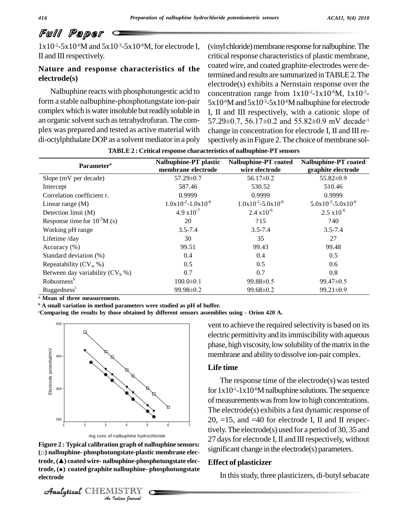$1x10^{-2} - 5x10^{-6}$ M and  $5x10^{-3} - 5x10^{-6}$ M, for electrode I, (vin II and III respectively.

## **Nature and response characteristics of the electrode(s)**

Nalbuphine reacts with phosphotungestic acid to form a stable nalbuphine-phosphotungstate ion-pair complex which is water insoluble but readily soluble in an organic solvent such as tetrahydrofuran. The complex was prepared and tested as active material with di-octylphthalate DOP as a solvent mediatorin a poly

(vinyl chloride) membrane response for nalbuphine. The critical response characteristics of plastic membrane, coated wire, and coated graphite-electrodes were determined and results are summarized inTABLE2.The electrode(s) exhibits a Nernstain response over the concentration range from  $1x10^{-2}$ -1x10<sup>-6</sup>M,  $1x10^{-2}$ - $5x10^6$ M and  $5x10^3$ - $5x10^6$ M nalbuphine for electrode I, II and III respectively, with a cationic slope of  $5x10^6$ M and  $5x10^3$ - $5x10^6$ M nalbuphine for electrode<br>I, II and III respectively, with a cationic slope of<br> $57.29\pm0.7$ ,  $56.17\pm0.2$  and  $55.82\pm0.9$  mV decade<sup>-1</sup> change in concentration for electrode I, II and III re spectively as in Figure 2. The choice of membrane sol-

| Parameter <sup>a</sup>             | Nalbuphine-PT plastic<br>membrane electrode | Nalbuphine-PT coated<br>wire electrode | Nalbuphine-PT coated<br>graphite electrode |
|------------------------------------|---------------------------------------------|----------------------------------------|--------------------------------------------|
| Slope (mV per decade)              | $57.29 \pm 0.7$                             | $56.17 \pm 0.2$                        | $55.82 \pm 0.9$                            |
| Intercept                          | 587.46                                      | 530.52                                 | 510.46                                     |
| Correlation coefficient r.         | 0.9999                                      | 0.9999                                 | 0.9999                                     |
| Linear range $(M)$                 | $1.0x10^{-2} - 1.0x10^{-6}$                 | $1.0x10^{-2} - 5.0x10^{-6}$            | $5.0x10^{-3} - 5.0x10^{-6}$                |
| Detection limit (M)                | $4.9 \times 10^{-7}$                        | $2.4 \times 10^{-6}$                   | $2.5 \times 10^{-6}$                       |
| Response time for $10^{-3}$ M (s)  | 20                                          | ?15                                    | ?40                                        |
| Working pH range                   | $3.5 - 7.4$                                 | $3.5 - 7.4$                            | $3.5 - 7.4$                                |
| Lifetime /day                      | 30                                          | 35                                     | 27                                         |
| Accuracy $(\% )$                   | 99.51                                       | 99.43                                  | 99.48                                      |
| Standard deviation (%)             | 0.4                                         | 0.4                                    | 0.5                                        |
| Repeatability $(CV_w %)$           | 0.5                                         | 0.5                                    | 0.6                                        |
| Between day variability $(CV_h %)$ | 0.7                                         | 0.7                                    | 0.8                                        |
| Robustness <sup>b</sup>            | $100.0 \pm 0.1$                             | $99.88 \pm 0.5$                        | 99.47±0.5                                  |
| Ruggedness <sup>c</sup>            | $99.98 \pm 0.2$                             | 99.68±0.2                              | 99.21±0.9                                  |

**TABLE 2 : Critical response characteristics of nalbuphine-PTsensors**

**<sup>a</sup> Mean of three measurements.**

**<sup>b</sup> A small variation in method parameters were studied aspH of buffer.**

**<sup>c</sup>Comparing the results by those obtained by different sensors assemblies using - Orion 420 A.**





**Figure 2 :** Typical calibration graph of nalbuphine sensors:  $\frac{27}{100}$ **Imagstate-plastic<br>
Indian**<br> **IISTRY**<br> *IISTRY*<br> *IISTRY* log conc of nalbuphine hydrochloride<br>**Figure 2 : Typical calibration graph of nalbuphine sensors:**<br>⊙ nalbuphine- phosphotungstate-plastic membrane elec**figure 2 : Typical calibration graph of nalbuphine sensors:<br>(□) nalbuphine- phosphotungstate-plastic membrane elec-<br>trode, (▲) coated wire- nalbuphine-phosphotungstate elec-**(□) **nalbuphine- phosphotungstate-plastic membrane elec-**<br>**trode, (▲) coated wire- nalbuphine-phosphotungstate elec-**<br>**frode, (●) coated graphite nalbuphine- phosphotungstate electrode**

CHEMISTRY

vent to achieve the required selectivity is based on its electric permittivity and its immiscibility with aqueous phase, high viscosity, low solubility of the matrix in the membrane and ability to dissolve ion-pair complex.

#### **Life time**

The response time of the electrode $(s)$  was tested for  $1x10^{-1}-1x10^{-6}M$  nalbuphine solutions. The sequence of measurements was from low to high concentrations. The electrode(s) exhibits a fast dynamic response of  $20, =15$ , and  $=40$  for electrode I, II and II respectively.The electrode(s) used fora period of 30, 35 and 27 days for electrode I, II and III respectively, without significant change in the electrode(s) parameters.

#### **Effect of plasticizer**

In this study, three plasticizers, di-butyl sebacate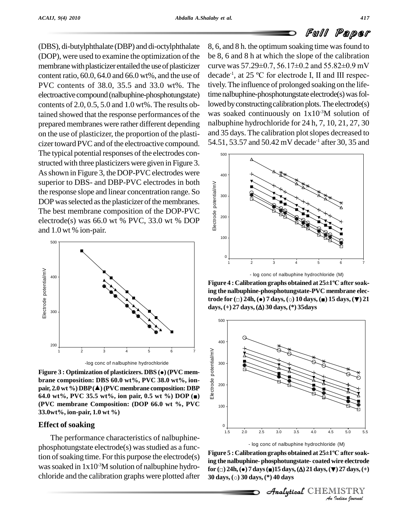(DBS), di-butylphthalate (DBP) and di-octylphthalate (DOP), were used to examine the optimization of the membrane with plasticizer entailed the use of plasticizer curve was  $57.29\pm0.7$ ,  $56.17\pm0.2$  and  $55.82\pm0.9$  mV content ratio, 60.0, 64.0 and 66.0 wt%, and the use of PVC contents of 38.0, 35.5 and 33.0 wt%. The electroactive compound (nalbuphine-phosphotungstate) contents of 2.0, 0.5, 5.0 and 1.0 wt%. The results obtained showed that the response performances of the prepared membranes were rather different depending on the use of plasticizer, the proportion of the plasti cizer toward PVC and of the electroactive compound. The typical potential responses of the electrodes constructed with three plasticizers were given in Figure 3. As shown in Figure 3, the DOP-PVC electrodes were superior to DBS- and DBP-PVC electrodes in both the response slope and linear concentration range. So DOP was selected as the plasticizer of the membranes. The best membrane composition of the DOP-PVC electrode(s) was 66.0 wt % PVC, 33.0 wt % DOP and 1.0 wt % ion-pair.



-log conc of nalbuphine hydrochloride

**Figure <sup>3</sup> : Optimization of plasticizers. DBS (**●**)(PVC mem brane composition: DBS 60.0 wt%, PVC 38.0 wt%, ion p**Example 1 : Optimization of plasticizers. DBS ( $\bullet$ ) (PVC membrane composition: DBS 60.0 wt%, PVC 38.0 wt%, ion-<br>pair, 2.0 wt %) DBP( $\triangle$ ) (PVC membrane composition: DBP **64.0 wt%, PVC 38.0 wt%, on- e**<br>**64.0 wt%, PVC 35.5 wt%,** ion pair, 0.5 **wt %**) DOP (■)  $\frac{8}{6}$ **(PVC membrane Composition: (DOP 66.0 wt %, PVC 33.0wt%, ion-pair, 1.0 wt %)**

#### **Effect of soaking**

The performance characteristics of nalbuphine  $phosphotung state electrode(s) was studied as a func$ tion of soaking time. For this purpose the electrode $(s)$ was soaked in  $1x10^{-3}M$  solution of nalbuphine hydrochloride and the calibration graphs were plotted after  $30 \text{ days}$ , (o) 30 days, (\*) 40 days

8, 6, and 8 h. the optimum soaking time wasfound to be 8, 6 and 8 h atwhich the slope of the calibration 8, 6, and 8 h. the optimum soaking time was found to<br>be 8, 6 and 8 h at which the slope of the calibration<br>curve was  $57.29\pm0.7$ ,  $56.17\pm0.2$  and  $55.82\pm0.9$  mV be 8, 6 and 8 h at which the slope of the calibration<br>curve was  $57.29\pm0.7$ ,  $56.17\pm0.2$  and  $55.82\pm0.9$  mV<br>decade<sup>-1</sup>, at 25 °C for electrode I, II and III respectively.The influence of prolonged soaking on the lifetime nalbuphine-phosphotungstate electrode(s) was followed by constructing calibration plots. The electrode $(s)$ was soaked continuously on  $1x10<sup>3</sup>M$  solution of nalbuphine hydrochloride for 24 h, 7, 10, 21, 27, 30 and 35 days. The calibration plotslopes decreased to 54.51, 53.57 and 50.42 mV decade -1 after 30, 35 and



**ing the nalbuphine-phosphotungstate-PVC membrane electrode for (**□**) 24h, (**●**) <sup>7</sup> days, (**○**) <sup>10</sup> days, (**■**) <sup>15</sup> days, (**▼**) <sup>21</sup> days, (−) 24h, (•) 7 days,** (○) **10 days, (■) 15 days,** (+) **27 days, (** $\Delta$ **) 30 days, (\*) 35days** 



<sup>3</sup> (M)<br>*IC after soak-<br>II 27 days, (+)***<br>II IST R Y<br>***Iudian Iournal* **ing the nalbuphine-phosphotungstate- coated wire electrode for (**□**) 24h,(**●**) 7days(**■**)15 days,() 21days,(**▼**) 27days,(+) 50 for**  $( \Box ) 24h, ( \bullet ) 7 \, \text{days}$   $( \Box ) 15 \, \text{days}$ ,  $( \Delta ) 21 \, \text{days}$ ,  $( \blacktriangleright ) 27 \, \text{days}$ ,  $(+)$ 

CHEMISTRY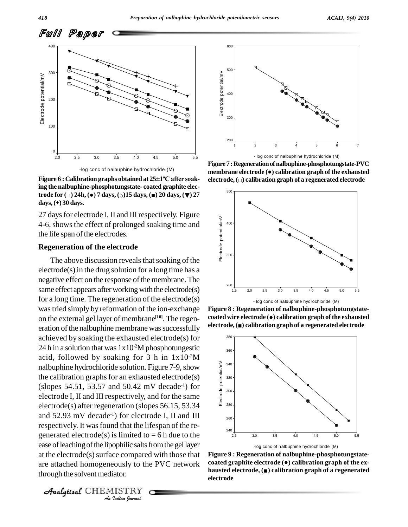

**Figure <sup>6</sup> : Calibration graphs obtained at <sup>25</sup>±1ºC after soaking the nalbuphine-phosphotungstate- coated graphite elec-Figure** 6 : Calibration graphs obtained at 25±1°C after soak-<br>ing the nalbuphine-phosphotungstate- coated graphite elec-<br>trode for  $(\square)$  24h,  $(\bullet)$  7 days,  $(\circ)$  15 days,  $(\bullet)$  20 days,  $(\blacktriangledown)$  27 **days,(+) 30 days.**

27 days for electrode I, II and III respectively. Figure 4-6,showsthe effect of prolonged soaking time and the life span of the electrodes.

#### **Regeneration of the electrode**

ease of leaching of the lipophilic salts from the gel layer *Indian*<br>*Indian*<br>*IISTRY*<br>*IISTRY*<br>*Indian Journal* The above discussion reveals that soaking of the electrode(s) in the drug solution for a long time has a negative effect on the response of the membrane. The same effect appears after working with the electrode(s) for a long time. The regeneration of the electrode(s) wastried simply by reformation of the ion-exchange on the external gel layer of membrane<sup>[10]</sup>. The regeneration of the nalbuphine membrane was successfully electrode, ( $\bullet$ ) calibration graph of a regenerated electrode achieved by soaking the exhausted electrode(s) for 24 h in a solution that was  $1x10^2M$  phosphotungestic acid, followed by soaking for 3 h in  $1x10^2M$ nalbuphine hydrochloride solution. Figure 7-9, show the calibration graphs for an exhausted electrode $(s)$  $(slopes 54.51, 53.57 and 50.42 mV decade<sup>-1</sup>) for$ electrode I, II and III respectively, and for the same electrode(s) after regeneration (slopes 56.15, 53.34 and 52.93 mV decade<sup>-1</sup>) for electrode I, II and III respectively. It wasfound that the lifespan of the re generated electrode(s) is limited to  $= 6$  h due to the at the electrode $(s)$  surface compared with those that are attached homogeneously to the PVC network<br>hausted graphite electrode. ( $\bullet$ ) calibration graph of a regenerated<br>these levels are distance distance distance distance distance distance distance distance distance distanc through the solvent mediator.



**Figure7 :Regenerationofnalbuphine-phosphotungstate-PVC membrane electrode (**●**) calibration graph of the exhausted Figure 7 : Regeneration of nalbuphine-phosphotungstate-PVC<br>membrane electrode (●) calibration graph of the exhausted<br>electrode, (□) calibration graph of a regenerated electrode** 



**Figure 8 : Regeneration of nalbuphine-phosphotungstate coated wire electrode (**●**) calibration graph ofthe exhausted Figure 8 : Regeneration of nalbuphine-phosphotungstate-coated wire electrode (●) calibration graph of the exhausted<br>electrode, (■) calibration graph of a regenerated electrode** 



**Figure 9 : Regeneration of nalbuphine-phosphotungstate coated graphite electrode (**●**) calibration graph of the ex figure 9 : Regeneration of nalbuphine-phosphotungstate-coated graphite electrode (●) calibration graph of the ex-<br>hausted electrode, (■) calibration graph of a regenerated electrode**

CHEMISTRY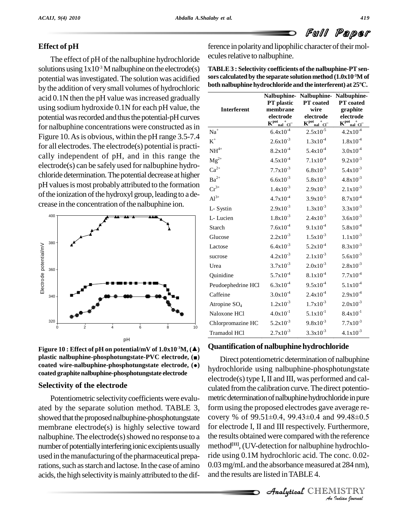# **Effect of pH**

The effect of pH of the nalbuphine hydrochloride solutions using  $1x10^{-3}$  M nalbuphine on the electrode(s) TAE potential was investigated. The solution was acidified by the addition of very small volumes of hydrochloric acid 0.1N then the pH value was increased gradually using sodium hydroxide 0.1N for each pH value, the potential was recorded and thus the potential-pH curves for nalbuphine concentrations were constructed as in Figure 10. As is obvious, within the pH range 3.5-7.4 for all electrodes. The electrode(s) potential is practi cally independent of pH, and in this range the electrode(s) can be safely used for nalbuphine hydro chloride determination. The potential decrease at higher pH values is most probably attributed to the formation of the ionization of the hydroxyl group, leading to a decrease in the concentration of the nalbuphine ion.



——<br>Figure 10 : Effect of pH on potential/mV of 1.0x10<sup>.3</sup>M, (▲) QU<br>plastic nalbuphine-phosphotungstate-PVC electrode, (■) **c** Figure 10 : Effect of pH on potential/mV of 1.0x10<sup>-3</sup>M, (▲) QU<br>plastic nalbuphine-phosphotungstate-PVC electrode, (■)<br>coated wire-nalbuphine-phosphotungstate electrode, (●) **coated graphite nalbuphine-phosphotungstate electrode**

## **Selectivity of the electrode**

Potentiometric selectivity coefficients were evaluated by the separate solution method. TABLE 3, showed that the proposed nalbuphine-phosphotungstate membrane electrode(s) is highly selective toward nalbuphine. The electrode $(s)$  showed no response to a number of potentially interfering ionic excipients usually used in the manufacturing of the pharmaceutical preparations, such as starch and lactose. In the case of amino acids, the high selectivity is mainly attributed to the difference in polarity and lipophilic character of their molecules relative to nalbuphine.

| TABLE 3 : Selectivity coefficients of the nalbuphine-PT sen-               |  |
|----------------------------------------------------------------------------|--|
| sors calculated by the separate solution method (1.0x10 <sup>-3</sup> M of |  |
| both nalbuphine hydrochloride and the interferent) at 25°C.                |  |

| <b>Interferent</b> | Nalbuphine-<br><b>PT</b> plastic<br>membrane<br>electrode<br>$K_{\text{mal}}^{\text{pot}_{+}}$ | Nalbuphine-<br><b>PT</b> coated<br>wire<br>electrode<br>$K_{\text{nal}}^{\text{pot}_{\text{mal}}+}$ | Nalbuphine-<br>PT coated<br>graphite<br>electrode<br>$K_{\quad \  \  \text{nal}}^{\text{pot}}$ and $\text{Cl}^-$ |
|--------------------|------------------------------------------------------------------------------------------------|-----------------------------------------------------------------------------------------------------|------------------------------------------------------------------------------------------------------------------|
| $\mathrm{Na}^+$    | $6.4x10^{-4}$                                                                                  | $2.5x10^{-5}$                                                                                       | $4.2x10^{-4}$                                                                                                    |
| $\mbox{K}^+$       | $2.6x10^{-3}$                                                                                  | $1.3x10^{-4}$                                                                                       | $1.8x10^{-4}$                                                                                                    |
| $NH4+$             | $8.2x10^{-4}$                                                                                  | $5.4x10^{-4}$                                                                                       | $3.0x10^{-4}$                                                                                                    |
| $\rm Mg^{2+}$      | $4.5x10^{-4}$                                                                                  | $7.1x10^{-4}$                                                                                       | $9.2x10^{-3}$                                                                                                    |
| $\mathrm{Ca}^{2+}$ | $7.7x10^{-3}$                                                                                  | $6.8x10^{-3}$                                                                                       | $5.4x10^{-3}$                                                                                                    |
| $Ba^{2+}$          | $6.6x10^{-3}$                                                                                  | $5.8x10^{-3}$                                                                                       | $4.8x10^{-3}$                                                                                                    |
| $Cr^{3+}$          | $1.4x10^{-3}$                                                                                  | $2.9x10^{-3}$                                                                                       | $2.1x10^{-3}$                                                                                                    |
| $\mathbf{Al}^{3+}$ | $4.7x10^{-4}$                                                                                  | $3.9x10^{-5}$                                                                                       | $8.7x10^{-4}$                                                                                                    |
| L-Systin           | $2.9x10^{-3}$                                                                                  | $1.3x10^{-3}$                                                                                       | $3.3x10^{-3}$                                                                                                    |
| L-Lucien           | $1.8x10^{-3}$                                                                                  | $2.4x10^{-3}$                                                                                       | $3.6x10^{-3}$                                                                                                    |
| Starch             | $7.6x10^{-4}$                                                                                  | $9.1x10^{-4}$                                                                                       | $5.8x10^{-4}$                                                                                                    |
| Glucose            | $2.2x10^{-3}$                                                                                  | $1.5x10^{-3}$                                                                                       | $1.1x10^{-3}$                                                                                                    |
| Lactose            | $6.4x10^{-3}$                                                                                  | $5.2x10^{-4}$                                                                                       | $8.3x10^{-3}$                                                                                                    |
| sucrose            | $4.2x10^{-3}$                                                                                  | $2.1x10^{-3}$                                                                                       | $5.6x10^{-3}$                                                                                                    |
| Urea               | $3.7x10^{-3}$                                                                                  | $2.0x10^{-3}$                                                                                       | $2.8x10^{-3}$                                                                                                    |
| Quinidine          | $5.7x10^{-4}$                                                                                  | $8.1x10^{-4}$                                                                                       | $7.7x10^{-4}$                                                                                                    |
| Peudoephedrine HCl | $6.3x10^{-4}$                                                                                  | $9.5x10^{-4}$                                                                                       | $5.1x10^{-4}$                                                                                                    |
| Caffeine           | $3.0x10^{-4}$                                                                                  | $2.4x10^{-4}$                                                                                       | $2.9x10^{-4}$                                                                                                    |
| Atropine $SO_4$    | $1.2x10^{-3}$                                                                                  | $1.7x10^{-3}$                                                                                       | $2.0x10^{-3}$                                                                                                    |
| Naloxone HCl       | $4.0x10^{-1}$                                                                                  | $5.1 \times 10^{-1}$                                                                                | $8.4x10^{-1}$                                                                                                    |
| Chlorpromazine HC  | $5.2x10^{-3}$                                                                                  | $9.8x10^{-3}$                                                                                       | $7.7x10^{-3}$                                                                                                    |
| Tramadol HCl       | $2.7x10^{-3}$                                                                                  | $3.3x10^{-3}$                                                                                       | $4.1x10^{-3}$                                                                                                    |

### **Quantification of nalbuphine hydrochloride**

method<sup>[11]</sup>, (UV-detection for nalbuphine hydrochlo-*Inydrochlo*<br> *Inces 0.02*<br> *IISTRY*<br> *IISTRY* Direct potentiometric determination of nalbuphine hydrochloride using nalbuphine-phosphotungstate electrode(s) type I, II and III, was performed and cal culated fromthe calibration curve.The direct potentio metric determination of nalbuphine hydrochloride in pure form using the proposed electrodes gave average re covery % of 99.51±0.4, 99.43±0.4 and 99.48±0.5 for electrode I, II and III respectively. Furthermore, the results obtained were compared with the reference ride using 0.1M hydrochloric acid. The conc. 0.02- 0.03 mg/mL and the absorbance measured at 284 nm), and the results are listed inTABLE 4.

**Analytical** CHEMISTRY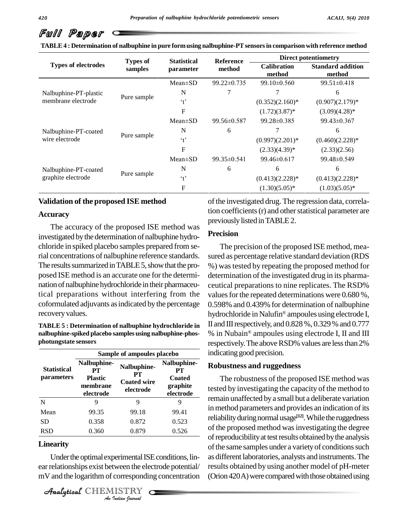|                                            | <b>Types of</b> | <b>Statistical</b> | <b>Reference</b>  | <b>Direct potentiometry</b>  |                                    |  |
|--------------------------------------------|-----------------|--------------------|-------------------|------------------------------|------------------------------------|--|
| <b>Types of electrodes</b>                 | samples         | parameter          | method            | <b>Calibration</b><br>method | <b>Standard addition</b><br>method |  |
|                                            |                 | $Mean \pm SD$      | $99.22 \pm 0.735$ | $99.10 \pm 0.560$            | $99.51 \pm 0.418$                  |  |
| Nalbuphine-PT-plastic                      |                 | N                  |                   |                              | 6                                  |  |
| membrane electrode                         | Pure sample     | $\cdot$ t'         |                   | $(0.352)(2.160)*$            | $(0.907)(2.179)$ *                 |  |
|                                            |                 | F                  |                   | $(1.72)(3.87)^*$             | $(3.09)(4.28)$ *                   |  |
|                                            |                 | $Mean \pm SD$      | $99.56 \pm 0.587$ | 99.28±0.385                  | $99.43 \pm 0.367$                  |  |
| Nalbuphine-PT-coated                       | Pure sample     | N                  | 6                 |                              | 6                                  |  |
| wire electrode                             |                 | $\cdot$ +          |                   | $(0.997)(2.201)*$            | $(0.460)(2.228)*$                  |  |
|                                            |                 | F                  |                   | $(2.33)(4.39)^*$             | (2.33)(2.56)                       |  |
|                                            |                 | $Mean \pm SD$      | $99.35\pm 0.541$  | 99.46±0.617                  | 99.48±0.549                        |  |
| Nalbuphine-PT-coated<br>graphite electrode | Pure sample     | N                  | 6                 | 6                            | 6                                  |  |
|                                            |                 | $\cdot$ +          |                   | $(0.413)(2.228)*$            | $(0.413)(2.228)*$                  |  |
|                                            |                 | F                  |                   | $(1.30)(5.05)^*$             | $(1.03)(5.05)^*$                   |  |

**TABLE4 : Determination of nalbuphine in pure formusing nalbuphine-PTsensorsin comparison with reference method**

#### **Validation of the proposed ISE method**

#### **Accuracy**

The accuracy of the proposed ISE method was investigated bythe determination of nalbuphine hydro chloride in spiked placebo samples prepared from serial concentrations of nalbuphine reference standards. The results summarized in TABLE 5, show that the proposed ISE method is an accurate one for the determination of nalbuphine hydrochloride in their pharmaceutical preparations without interfering from the coformulated adjuvants asindicated bythe percentage recovery values.

**TABLE 5 : Determination of nalbuphine hydrochloride in nalbuphine-spiked placebo samples using nalbuphine-phos photungstate sensors**

|                                         | Sample of ampoules placebo                                   |                                                      |                                                             |  |  |  |  |
|-----------------------------------------|--------------------------------------------------------------|------------------------------------------------------|-------------------------------------------------------------|--|--|--|--|
| <b>Statistical</b><br><i>parameters</i> | Nalbuphine-<br>PТ<br><b>Plastic</b><br>membrane<br>electrode | Nalbuphine-<br>PТ<br><b>Coated wire</b><br>electrode | Nalbuphine-<br>PТ<br><b>Coated</b><br>graphite<br>electrode |  |  |  |  |
| N                                       |                                                              | 9                                                    |                                                             |  |  |  |  |
| Mean                                    | 99.35                                                        | 99.18                                                | 99.41                                                       |  |  |  |  |
| <b>SD</b>                               | 0.358                                                        | 0.872                                                | 0.523                                                       |  |  |  |  |
| <b>RSD</b>                              | 0.360                                                        | 0.879                                                | 0.526                                                       |  |  |  |  |

# Linearity

**Indian Proper**<br> **I**<br> *ISTRY*<br> *ISTRY*<br> *Indian Iournal* Under the optimal experimental ISE conditions, linear relationships exist between the electrode potential/ mV and the logarithm of corresponding concentration

CHEMISTRY

of the investigated drug. The regression data, correlation coefficients (r) and other statistical parameter are previously listed in TABLE 2.

#### **Precision**

The precision of the proposed ISE method, mea sured as percentage relative standard deviation (RDS %) wastested by repeating the proposed method for determination of the investigated drug in its pharma ceutical preparations to nine replicates. The RSD% values for the repeated determinations were  $0.680\%$ , 0.598% and 0.439% for determination of nalbuphine Æhydrochloride in Nalufin® ampoules using electrode I, II and III respectively, and  $0.828\%$  ,  $0.329\%$  and  $0.777$ % in Nubain® ampoules using electrode I, II and III respectively. The above RSD% values are less than 2% indicating good precision.

#### **Robustness and ruggedness**

The robustness of the proposed ISE method was tested by investigating the capacity of the method to **graphite** remain unaffected bya small but a deliberate variation in method parameters and provides an indication of its reliability during normal usage<sup>[12]</sup>. While the ruggedness of the proposed method wasinvestigating the degree of reproducibility at test results obtained by the analysis of the same samples under a variety of conditions such as different laboratories, analysts and instruments.The results obtained by using another model of pH-meter (Orion 420A) were compared with those obtained using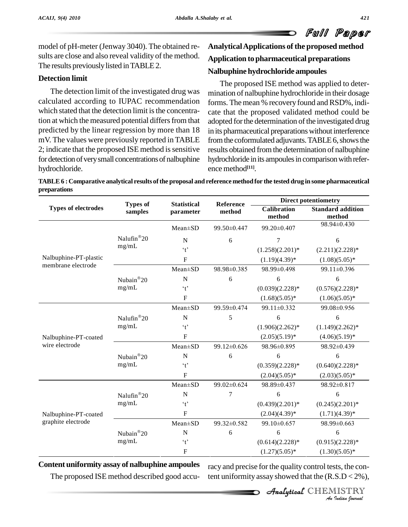model of pH-meter (Jenway 3040). The obtained re-sults are close and also reveal validity of the method. The results previously listed in TABLE 2.

### **Detection limit**

The detection limit of the investigated drug was calculated according to IUPAC recommendation which stated that the detection limit is the concentration at which the measured potential differs from that predicted by the linear regression by more than 18 mV. The values were previously reported in TABLE 2; indicate that the proposed ISE method is sensitive for detection of very small concentrations of nalbuphine hydrochloride.

# **AnalyticalApplications of the proposed method Application to pharmaceutical preparations Nalbuphine hydrochloride ampoules**

The proposed ISE method was applied to deter mination of nalbuphine hydrochloride in their dosage forms. The mean % recovery found and RSD%, indicate that the proposed validated method could be adopted for the determination of the investigated drug in its pharmaceutical preparations without interference from the coformulated adjuvants. TABLE 6, shows the results obtained fromthe determination of nalbuphine hydrochloride in its ampoules in comparison with reference method **[11]**.

TABLE 6 : Comparative analytical results of the proposal and reference method for the tested drug in some pharmaceutical **preparations**

|                                            | <b>Types of</b>                         | <b>Statistical</b>                    | Reference   | <b>Direct potentiometry</b>  |                                    |  |
|--------------------------------------------|-----------------------------------------|---------------------------------------|-------------|------------------------------|------------------------------------|--|
| <b>Types of electrodes</b>                 | samples                                 | parameter                             | method      | <b>Calibration</b><br>method | <b>Standard addition</b><br>method |  |
|                                            |                                         | Mean±SD                               | 99.50±0.447 | 99.20±0.407                  | 98.94±0.430                        |  |
|                                            | Nalufin <sup>®</sup> 20                 | $\mathbf N$                           | 6           | 7                            | 6                                  |  |
|                                            | mg/mL                                   | $\cdot$ <sub>t</sub>                  |             | $(1.258)(2.201)$ *           | $(2.211)(2.228)*$                  |  |
| Nalbuphine-PT-plastic                      |                                         | $\mathbf F$                           |             | $(1.19)(4.39)^*$             | $(1.08)(5.05)^*$                   |  |
| membrane electrode                         |                                         | Mean±SD                               | 98.98±0.385 | 98.99±0.498                  | 99.11±0.396                        |  |
|                                            | Nubain®20                               | ${\bf N}$                             | 6           | 6                            | 6                                  |  |
|                                            | mg/mL                                   | $\cdot$ <sup><math>\cdot</math></sup> |             | $(0.039)(2.228)*$            | $(0.576)(2.228)*$                  |  |
|                                            |                                         | $\boldsymbol{\mathrm{F}}$             |             | $(1.68)(5.05)*$              | $(1.06)(5.05)^*$                   |  |
|                                            |                                         | $Mean \pm SD$                         | 99.59±0.474 | 99.11±0.332                  | 99.08±0.956                        |  |
|                                            | $\text{Nalufin}^{\circledR}20$<br>mg/mL | ${\bf N}$                             | 5           | 6                            | 6                                  |  |
|                                            |                                         | $\cdot$ <sup><math>\cdot</math></sup> |             | $(1.906)(2.262)*$            | $(1.149)(2.262)*$                  |  |
| Nalbuphine-PT-coated                       |                                         | $\mathbf{F}$                          |             | $(2.05)(5.19)^*$             | $(4.06)(5.19)^*$                   |  |
| wire electrode                             |                                         | $Mean \pm SD$                         | 99.12±0.626 | 98.96±0.895                  | 98.92±0.439                        |  |
|                                            | Nubain®20<br>mg/mL                      | $\mathbf N$                           | 6           | 6                            | 6                                  |  |
|                                            |                                         | $\cdot$ <sup><math>\cdot</math></sup> |             | $(0.359)(2.228)*$            | $(0.640)(2.228)*$                  |  |
|                                            |                                         | F                                     |             | $(2.04)(5.05)^*$             | $(2.03)(5.05)^*$                   |  |
|                                            |                                         | $Mean \pm SD$                         | 99.02±0.624 | 98.89±0.437                  | 98.92±0.817                        |  |
| Nalbuphine-PT-coated<br>graphite electrode | Nalufin <sup>®</sup> 20                 | $\mathbf N$                           | 7           | 6                            | 6                                  |  |
|                                            | mg/mL                                   | $\cdot$ <sup><math>\cdot</math></sup> |             | $(0.439)(2.201)$ *           | $(0.245)(2.201)$ *                 |  |
|                                            |                                         | $\mathbf{F}$                          |             | $(2.04)(4.39)*$              | $(1.71)(4.39)^*$                   |  |
|                                            |                                         | Mean±SD                               | 99.32±0.582 | 99.10±0.657                  | 98.99±0.663                        |  |
|                                            | Nubain®20                               | $\mathbf N$                           | 6           | 6                            | 6                                  |  |
|                                            | mg/mL                                   | $\lq t$                               |             | $(0.614)(2.228)*$            | $(0.915)(2.228)*$                  |  |
|                                            |                                         | F                                     |             | $(1.27)(5.05)^*$             | $(1.30)(5.05)^*$                   |  |

### **Content uniformity assay of nalbuphine ampoules**

The proposed ISE method described good accu-

)(2.228)\*<br><u>)(5.05)\*</u><br>sts, the con-<br>*S.D* < 2%),<br>IISTRY<br>*Indian Iournal* racy and precise for the quality control tests, the content uniformity assay showed that the  $(R.S.D < 2\%)$ ,

CHEMISTRY